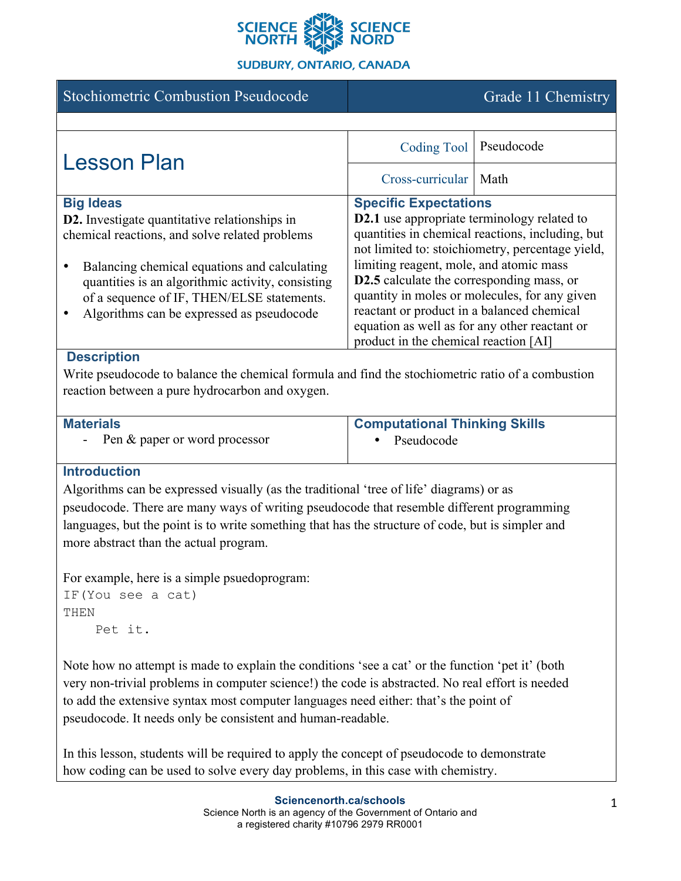

### **SUDBURY, ONTARIO, CANADA**

| <b>Stochiometric Combustion Pseudocode</b>                                                                                                                                                                                                                                                                   |                                                                                                                                                                                                                                                                                                                                                                                                                                                    | Grade 11 Chemistry |
|--------------------------------------------------------------------------------------------------------------------------------------------------------------------------------------------------------------------------------------------------------------------------------------------------------------|----------------------------------------------------------------------------------------------------------------------------------------------------------------------------------------------------------------------------------------------------------------------------------------------------------------------------------------------------------------------------------------------------------------------------------------------------|--------------------|
|                                                                                                                                                                                                                                                                                                              |                                                                                                                                                                                                                                                                                                                                                                                                                                                    |                    |
| <b>Lesson Plan</b>                                                                                                                                                                                                                                                                                           | <b>Coding Tool</b>                                                                                                                                                                                                                                                                                                                                                                                                                                 | Pseudocode         |
|                                                                                                                                                                                                                                                                                                              | Cross-curricular                                                                                                                                                                                                                                                                                                                                                                                                                                   | Math               |
| <b>Big Ideas</b>                                                                                                                                                                                                                                                                                             | <b>Specific Expectations</b>                                                                                                                                                                                                                                                                                                                                                                                                                       |                    |
| D2. Investigate quantitative relationships in<br>chemical reactions, and solve related problems<br>Balancing chemical equations and calculating<br>$\bullet$<br>quantities is an algorithmic activity, consisting<br>of a sequence of IF, THEN/ELSE statements.<br>Algorithms can be expressed as pseudocode | <b>D2.1</b> use appropriate terminology related to<br>quantities in chemical reactions, including, but<br>not limited to: stoichiometry, percentage yield,<br>limiting reagent, mole, and atomic mass<br><b>D2.5</b> calculate the corresponding mass, or<br>quantity in moles or molecules, for any given<br>reactant or product in a balanced chemical<br>equation as well as for any other reactant or<br>product in the chemical reaction [AI] |                    |
| <b>Description</b>                                                                                                                                                                                                                                                                                           |                                                                                                                                                                                                                                                                                                                                                                                                                                                    |                    |
| Write pseudocode to balance the chemical formula and find the stochiometric ratio of a combustion<br>reaction between a pure hydrocarbon and oxygen.                                                                                                                                                         |                                                                                                                                                                                                                                                                                                                                                                                                                                                    |                    |
|                                                                                                                                                                                                                                                                                                              |                                                                                                                                                                                                                                                                                                                                                                                                                                                    |                    |
| <b>Materials</b>                                                                                                                                                                                                                                                                                             | <b>Computational Thinking Skills</b>                                                                                                                                                                                                                                                                                                                                                                                                               |                    |
| Pen & paper or word processor                                                                                                                                                                                                                                                                                | Pseudocode                                                                                                                                                                                                                                                                                                                                                                                                                                         |                    |

• Pseudocode

# **Introduction**

Algorithms can be expressed visually (as the traditional 'tree of life' diagrams) or as pseudocode. There are many ways of writing pseudocode that resemble different programming languages, but the point is to write something that has the structure of code, but is simpler and more abstract than the actual program.

For example, here is a simple psuedoprogram:

```
IF(You see a cat)
THEN
     Pet it.
```
Note how no attempt is made to explain the conditions 'see a cat' or the function 'pet it' (both very non-trivial problems in computer science!) the code is abstracted. No real effort is needed to add the extensive syntax most computer languages need either: that's the point of pseudocode. It needs only be consistent and human-readable.

In this lesson, students will be required to apply the concept of pseudocode to demonstrate how coding can be used to solve every day problems, in this case with chemistry.